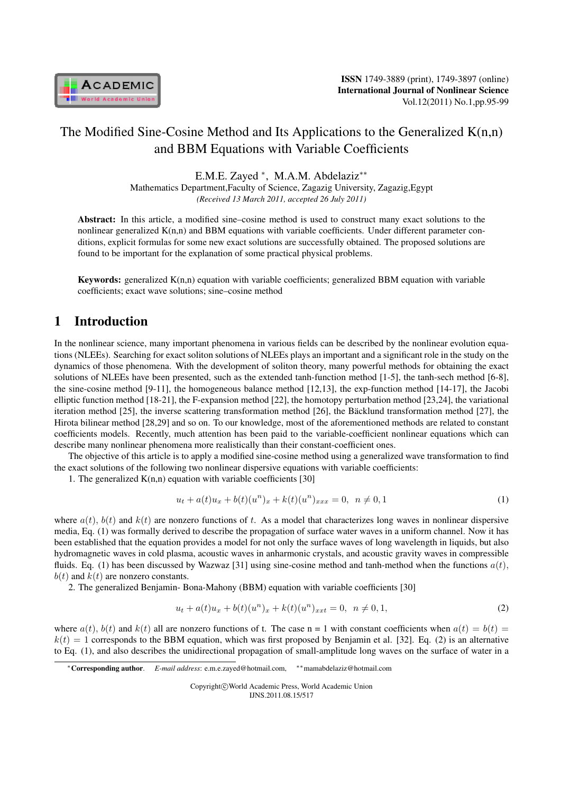

# The Modified Sine-Cosine Method and Its Applications to the Generalized K(n,n) and BBM Equations with Variable Coefficients

E.M.E. Zayed *<sup>∗</sup>* , M.A.M. Abdelaziz*∗∗*

Mathematics Department,Faculty of Science, Zagazig University, Zagazig,Egypt *(Received 13 March 2011, accepted 26 July 2011)*

Abstract: In this article, a modified sine–cosine method is used to construct many exact solutions to the nonlinear generalized  $K(n,n)$  and BBM equations with variable coefficients. Under different parameter conditions, explicit formulas for some new exact solutions are successfully obtained. The proposed solutions are found to be important for the explanation of some practical physical problems.

**Keywords:** generalized  $K(n,n)$  equation with variable coefficients; generalized BBM equation with variable coefficients; exact wave solutions; sine–cosine method

## 1 Introduction

In the nonlinear science, many important phenomena in various fields can be described by the nonlinear evolution equations (NLEEs). Searching for exact soliton solutions of NLEEs plays an important and a significant role in the study on the dynamics of those phenomena. With the development of soliton theory, many powerful methods for obtaining the exact solutions of NLEEs have been presented, such as the extended tanh-function method [1-5], the tanh-sech method [6-8], the sine-cosine method [9-11], the homogeneous balance method [12,13], the exp-function method [14-17], the Jacobi elliptic function method [18-21], the F-expansion method [22], the homotopy perturbation method [23,24], the variational iteration method  $[25]$ , the inverse scattering transformation method  $[26]$ , the Bäcklund transformation method  $[27]$ , the Hirota bilinear method [28,29] and so on. To our knowledge, most of the aforementioned methods are related to constant coefficients models. Recently, much attention has been paid to the variable-coefficient nonlinear equations which can describe many nonlinear phenomena more realistically than their constant-coefficient ones.

The objective of this article is to apply a modified sine-cosine method using a generalized wave transformation to find the exact solutions of the following two nonlinear dispersive equations with variable coefficients:

1. The generalized  $K(n,n)$  equation with variable coefficients [30]

$$
u_t + a(t)u_x + b(t)(u^n)_x + k(t)(u^n)_{xxx} = 0, \ \ n \neq 0, 1
$$
 (1)

where  $a(t)$ ,  $b(t)$  and  $k(t)$  are nonzero functions of t. As a model that characterizes long waves in nonlinear dispersive media, Eq. (1) was formally derived to describe the propagation of surface water waves in a uniform channel. Now it has been established that the equation provides a model for not only the surface waves of long wavelength in liquids, but also hydromagnetic waves in cold plasma, acoustic waves in anharmonic crystals, and acoustic gravity waves in compressible fluids. Eq. (1) has been discussed by Wazwaz [31] using sine-cosine method and tanh-method when the functions  $a(t)$ ,  $b(t)$  and  $k(t)$  are nonzero constants.

2. The generalized Benjamin- Bona-Mahony (BBM) equation with variable coefficients [30]

$$
u_t + a(t)u_x + b(t)(u^n)_x + k(t)(u^n)_{xxt} = 0, \ \ n \neq 0, 1,
$$
\n(2)

where  $a(t)$ ,  $b(t)$  and  $k(t)$  all are nonzero functions of t. The case n = 1 with constant coefficients when  $a(t) = b(t)$  $k(t) = 1$  corresponds to the BBM equation, which was first proposed by Benjamin et al. [32]. Eq. (2) is an alternative to Eq. (1), and also describes the unidirectional propagation of small-amplitude long waves on the surface of water in a

Copyright*⃝*c World Academic Press, World Academic Union IJNS.2011.08.15/517

*<sup>∗</sup>*Corresponding author. *E-mail address*: e.m.e.zayed@hotmail.com, *∗∗*mamabdelaziz@hotmail.com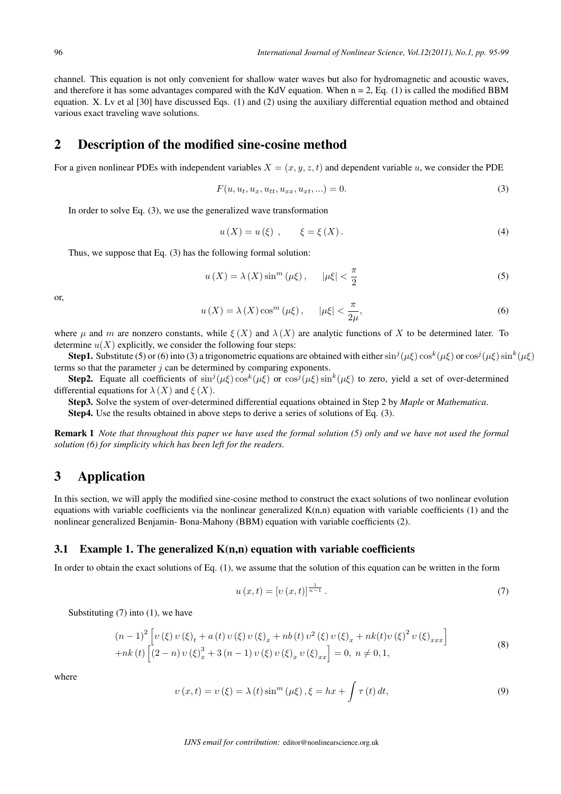channel. This equation is not only convenient for shallow water waves but also for hydromagnetic and acoustic waves, and therefore it has some advantages compared with the KdV equation. When  $n = 2$ , Eq. (1) is called the modified BBM equation. X. Lv et al [30] have discussed Eqs. (1) and (2) using the auxiliary differential equation method and obtained various exact traveling wave solutions.

### 2 Description of the modified sine-cosine method

For a given nonlinear PDEs with independent variables  $X = (x, y, z, t)$  and dependent variable u, we consider the PDE

$$
F(u, u_t, u_x, u_{tt}, u_{xx}, u_{xt}, \ldots) = 0.
$$
\n(3)

In order to solve Eq. (3), we use the generalized wave transformation

$$
u(X) = u(\xi) , \qquad \xi = \xi(X). \tag{4}
$$

Thus, we suppose that Eq. (3) has the following formal solution:

$$
u\left(X\right) = \lambda\left(X\right)\sin^{m}\left(\mu\xi\right), \qquad \left|\mu\xi\right| < \frac{\pi}{2} \tag{5}
$$

or,

$$
u\left(X\right) = \lambda\left(X\right)\cos^{m}\left(\mu\xi\right), \qquad \left|\mu\xi\right| < \frac{\pi}{2\mu},\tag{6}
$$

where  $\mu$  and  $m$  are nonzero constants, while  $\xi(X)$  and  $\lambda(X)$  are analytic functions of X to be determined later. To determine  $u(X)$  explicitly, we consider the following four steps:

**Step1.** Substitute (5) or (6) into (3) a trigonometric equations are obtained with either  $\sin^j(\mu\xi)\cos^k(\mu\xi)$  or  $\cos^j(\mu\xi)\sin^k(\mu\xi)$ terms so that the parameter  $i$  can be determined by comparing exponents.

**Step2.** Equate all coefficients of  $\sin^j(\mu\xi)\cos^k(\mu\xi)$  or  $\cos^j(\mu\xi)\sin^k(\mu\xi)$  to zero, yield a set of over-determined differential equations for  $\lambda(X)$  and  $\xi(X)$ .

Step3. Solve the system of over-determined differential equations obtained in Step 2 by *Maple* or *Mathematica*. Step4. Use the results obtained in above steps to derive a series of solutions of Eq. (3).

Remark 1 *Note that throughout this paper we have used the formal solution (5) only and we have not used the formal solution (6) for simplicity which has been left for the readers.*

## 3 Application

In this section, we will apply the modified sine-cosine method to construct the exact solutions of two nonlinear evolution equations with variable coefficients via the nonlinear generalized  $K(n,n)$  equation with variable coefficients (1) and the nonlinear generalized Benjamin- Bona-Mahony (BBM) equation with variable coefficients (2).

#### 3.1 Example 1. The generalized  $K(n,n)$  equation with variable coefficients

In order to obtain the exact solutions of Eq. (1), we assume that the solution of this equation can be written in the form

$$
u(x,t) = [v(x,t)]^{\frac{1}{n-1}}.
$$
\n(7)

Substituting  $(7)$  into  $(1)$ , we have

$$
(n-1)^{2} \left[ \nu(\xi) \nu(\xi)_{t} + a(t) \nu(\xi) \nu(\xi)_{x} + nb(t) \nu^{2}(\xi) \nu(\xi)_{x} + nk(t) \nu(\xi)^{2} \nu(\xi)_{xxx} \right]
$$
  
+nk(t) 
$$
\left[ (2-n) \nu(\xi)_{x}^{3} + 3(n-1) \nu(\xi) \nu(\xi)_{x} \nu(\xi)_{xx} \right] = 0, \ n \neq 0, 1,
$$
 (8)

where

$$
v(x,t) = v(\xi) = \lambda(t)\sin^{m}(\mu\xi), \xi = hx + \int \tau(t) dt,
$$
\n(9)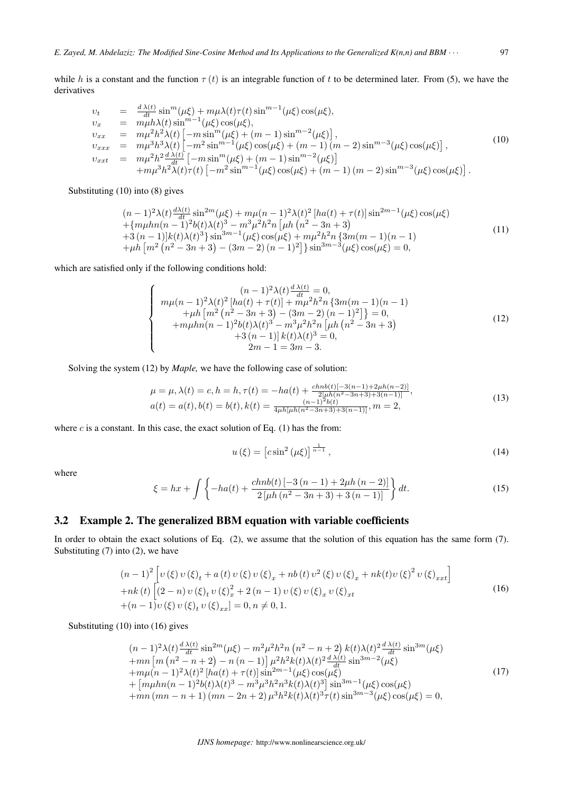while *h* is a constant and the function  $\tau(t)$  is an integrable function of t to be determined later. From (5), we have the derivatives

$$
v_{t} = \frac{d\lambda(t)}{dt} \sin^{m}(\mu\xi) + m\mu\lambda(t)\tau(t) \sin^{m-1}(\mu\xi) \cos(\mu\xi),
$$
  
\n
$$
v_{x} = m\mu h\lambda(t) \sin^{m-1}(\mu\xi) \cos(\mu\xi),
$$
  
\n
$$
v_{xx} = m\mu^{2}h^{2}\lambda(t) \left[ -m\sin^{m}(\mu\xi) + (m-1)\sin^{m-2}(\mu\xi) \right],
$$
  
\n
$$
v_{xxx} = m\mu^{3}h^{3}\lambda(t) \left[ -m^{2}\sin^{m-1}(\mu\xi) \cos(\mu\xi) + (m-1)(m-2)\sin^{m-3}(\mu\xi) \cos(\mu\xi) \right],
$$
  
\n
$$
v_{xxt} = m\mu^{2}h^{2}\frac{d\lambda(t)}{dt} \left[ -m\sin^{m}(\mu\xi) + (m-1)\sin^{m-2}(\mu\xi) \right]
$$
  
\n
$$
+m\mu^{3}h^{2}\lambda(t)\tau(t) \left[ -m^{2}\sin^{m-1}(\mu\xi) \cos(\mu\xi) + (m-1)(m-2)\sin^{m-3}(\mu\xi) \cos(\mu\xi) \right].
$$
  
\n(10)

Substituting (10) into (8) gives

$$
(n-1)^{2}\lambda(t)^{\frac{d\lambda(t)}{dt}}\sin^{2m}(\mu\xi) + m\mu(n-1)^{2}\lambda(t)^{2}[ha(t) + \tau(t)]\sin^{2m-1}(\mu\xi)\cos(\mu\xi) + \{m\mu h n(n-1)^{2}b(t)\lambda(t)^{3} - m^{3}\mu^{2}h^{2}n[\mu h(n^{2} - 3n + 3) + 3(n-1)]k(t)\lambda(t)^{3}\}\sin^{3m-1}(\mu\xi)\cos(\mu\xi) + m\mu^{2}h^{2}n\{3m(m-1)(n-1) + \mu h[n^{2}(n^{2} - 3n + 3) - (3m - 2)(n - 1)^{2}]\}\sin^{3m-3}(\mu\xi)\cos(\mu\xi) = 0,
$$
\n(11)

which are satisfied only if the following conditions hold:

$$
\begin{cases}\n(n-1)^2 \lambda(t)^{\frac{d\lambda(t)}{dt}} = 0, \\
m\mu(n-1)^2 \lambda(t)^2 \left[ ha(t) + \tau(t) \right] + m\mu^2 h^2 n \left\{ 3m(m-1)(n-1) + \mu h \left[ m^2 \left( n^2 - 3n + 3 \right) - (3m - 2) \left( n - 1 \right)^2 \right] \right\} = 0, \\
+m\mu h n(n-1)^2 b(t) \lambda(t)^3 - m^3 \mu^2 h^2 n \left[ \mu h \left( n^2 - 3n + 3 \right) + 3 \left( n - 1 \right) \right] k(t) \lambda(t)^3 = 0, \\
2m - 1 = 3m - 3.\n\end{cases} \tag{12}
$$

Solving the system (12) by *Maple,* we have the following case of solution:

$$
\mu = \mu, \lambda(t) = c, h = h, \tau(t) = -ha(t) + \frac{chnb(t)[-3(n-1)+2\mu h(n-2)]}{2[\mu h(n^2-3n+3)+3(n-1)]},
$$
  
\n
$$
a(t) = a(t), b(t) = b(t), k(t) = \frac{(n-1)^2 b(t)}{4\mu h[\mu h(n^2-3n+3)+3(n-1)]}, m = 2,
$$
\n(13)

where  $c$  is a constant. In this case, the exact solution of Eq. (1) has the from:

$$
u\left(\xi\right) = \left[c\sin^2\left(\mu\xi\right)\right]^{\frac{1}{n-1}},\tag{14}
$$

where

$$
\xi = hx + \int \left\{ -ha(t) + \frac{chnb(t) \left[ -3\left( n-1 \right) + 2\mu h \left( n-2 \right) \right]}{2\left[ \mu h \left( n^2 - 3n + 3 \right) + 3\left( n-1 \right) \right]} \right\} dt.
$$
\n(15)

#### 3.2 Example 2. The generalized BBM equation with variable coefficients

In order to obtain the exact solutions of Eq. (2), we assume that the solution of this equation has the same form (7). Substituting (7) into (2), we have

$$
(n-1)^{2} \left[ v(\xi) v(\xi)_{t} + a(t) v(\xi) v(\xi)_{x} + nb(t) v^{2}(\xi) v(\xi)_{x} + nk(t) v(\xi)^{2} v(\xi)_{x} t \right]
$$
  
+nk(t) 
$$
\left[ (2-n) v(\xi)_{t} v(\xi)_{x}^{2} + 2(n-1) v(\xi) v(\xi)_{x} v(\xi)_{x} t + (n-1) v(\xi) v(\xi)_{t} v(\xi)_{x} \right] = 0, n \neq 0, 1.
$$
 (16)

Substituting (10) into (16) gives

$$
(n-1)^{2} \lambda(t) \frac{d \lambda(t)}{dt} \sin^{2m}(\mu\xi) - m^{2} \mu^{2} h^{2} n (n^{2} - n + 2) k(t) \lambda(t)^{2} \frac{d \lambda(t)}{dt} \sin^{3m}(\mu\xi)
$$
  
+mn [m (n^{2} - n + 2) - n (n - 1)]  $\mu^{2} h^{2} k(t) \lambda(t)^{2} \frac{d \lambda(t)}{dt} \sin^{3m-2}(\mu\xi)$   
+m $\mu(n-1)^{2} \lambda(t)^{2} [h a(t) + \tau(t)] \sin^{2m-1}(\mu\xi) \cos(\mu\xi)$   
+ [m $\mu h n (n - 1)^{2} b(t) \lambda(t)^{3} - m^{3} \mu^{3} h^{2} n^{3} k(t) \lambda(t)^{3}] \sin^{3m-1}(\mu\xi) \cos(\mu\xi)$   
+mn (mn - n + 1) (mn - 2n + 2)  $\mu^{3} h^{2} k(t) \lambda(t)^{3} \tau(t) \sin^{3m-3}(\mu\xi) \cos(\mu\xi) = 0,$  (17)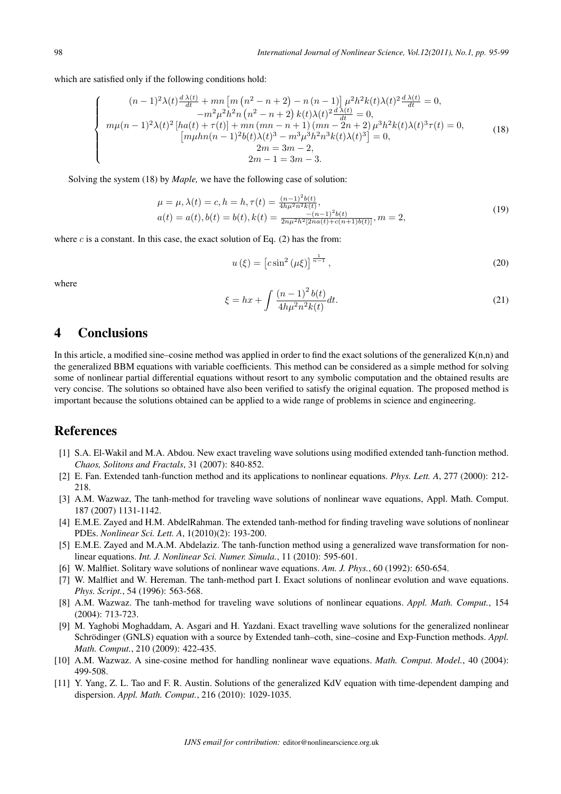which are satisfied only if the following conditions hold:

$$
\begin{cases}\n(n-1)^2 \lambda(t) \frac{d \lambda(t)}{dt} + mn \left[ m (n^2 - n + 2) - n (n - 1) \right] \mu^2 h^2 k(t) \lambda(t)^2 \frac{d \lambda(t)}{dt} = 0, \\
-m^2 \mu^2 h^2 n (n^2 - n + 2) k(t) \lambda(t)^2 \frac{d \lambda(t)}{dt} = 0, \\
mn \mu(n-1)^2 \lambda(t)^2 \left[ h a(t) + \tau(t) \right] + mn (mn - n + 1) (mn - 2n + 2) \mu^3 h^2 k(t) \lambda(t)^3 \tau(t) = 0, \\
\left[ m \mu h n (n - 1)^2 b(t) \lambda(t)^3 - m^3 \mu^3 h^2 n^3 k(t) \lambda(t)^3 \right] = 0, \\
2m = 3m - 2, \\
2m - 1 = 3m - 3.\n\end{cases} (18)
$$

Solving the system (18) by *Maple,* we have the following case of solution:

$$
\mu = \mu, \lambda(t) = c, h = h, \tau(t) = \frac{(n-1)^2 b(t)}{4h\mu^2 n^2 k(t)},
$$
  
\n
$$
a(t) = a(t), b(t) = b(t), k(t) = \frac{-(n-1)^2 b(t)}{2n\mu^2 h^2 [2na(t) + c(n+1)b(t)]}, m = 2,
$$
\n(19)

where  $c$  is a constant. In this case, the exact solution of Eq. (2) has the from:

$$
u\left(\xi\right) = \left[c\sin^2\left(\mu\xi\right)\right]^{\frac{1}{n-1}},\tag{20}
$$

where

$$
\xi = hx + \int \frac{(n-1)^2 b(t)}{4h\mu^2 n^2 k(t)} dt.
$$
\n(21)

## 4 Conclusions

In this article, a modified sine–cosine method was applied in order to find the exact solutions of the generalized  $K(n,n)$  and the generalized BBM equations with variable coefficients. This method can be considered as a simple method for solving some of nonlinear partial differential equations without resort to any symbolic computation and the obtained results are very concise. The solutions so obtained have also been verified to satisfy the original equation. The proposed method is important because the solutions obtained can be applied to a wide range of problems in science and engineering.

## References

- [1] S.A. El-Wakil and M.A. Abdou. New exact traveling wave solutions using modified extended tanh-function method. *Chaos, Solitons and Fractals*, 31 (2007): 840-852.
- [2] E. Fan. Extended tanh-function method and its applications to nonlinear equations. *Phys. Lett. A*, 277 (2000): 212- 218.
- [3] A.M. Wazwaz, The tanh-method for traveling wave solutions of nonlinear wave equations, Appl. Math. Comput. 187 (2007) 1131-1142.
- [4] E.M.E. Zayed and H.M. AbdelRahman. The extended tanh-method for finding traveling wave solutions of nonlinear PDEs. *Nonlinear Sci. Lett. A*, 1(2010)(2): 193-200.
- [5] E.M.E. Zayed and M.A.M. Abdelaziz. The tanh-function method using a generalized wave transformation for nonlinear equations. *Int. J. Nonlinear Sci. Numer. Simula.*, 11 (2010): 595-601.
- [6] W. Malfliet. Solitary wave solutions of nonlinear wave equations. *Am. J. Phys.*, 60 (1992): 650-654.
- [7] W. Malfliet and W. Hereman. The tanh-method part I. Exact solutions of nonlinear evolution and wave equations. *Phys. Script.*, 54 (1996): 563-568.
- [8] A.M. Wazwaz. The tanh-method for traveling wave solutions of nonlinear equations. *Appl. Math. Comput.*, 154 (2004): 713-723.
- [9] M. Yaghobi Moghaddam, A. Asgari and H. Yazdani. Exact travelling wave solutions for the generalized nonlinear Schrödinger (GNLS) equation with a source by Extended tanh–coth, sine–cosine and Exp-Function methods. *Appl. Math. Comput.*, 210 (2009): 422-435.
- [10] A.M. Wazwaz. A sine-cosine method for handling nonlinear wave equations. *Math. Comput. Model.*, 40 (2004): 499-508.
- [11] Y. Yang, Z. L. Tao and F. R. Austin. Solutions of the generalized KdV equation with time-dependent damping and dispersion. *Appl. Math. Comput.*, 216 (2010): 1029-1035.